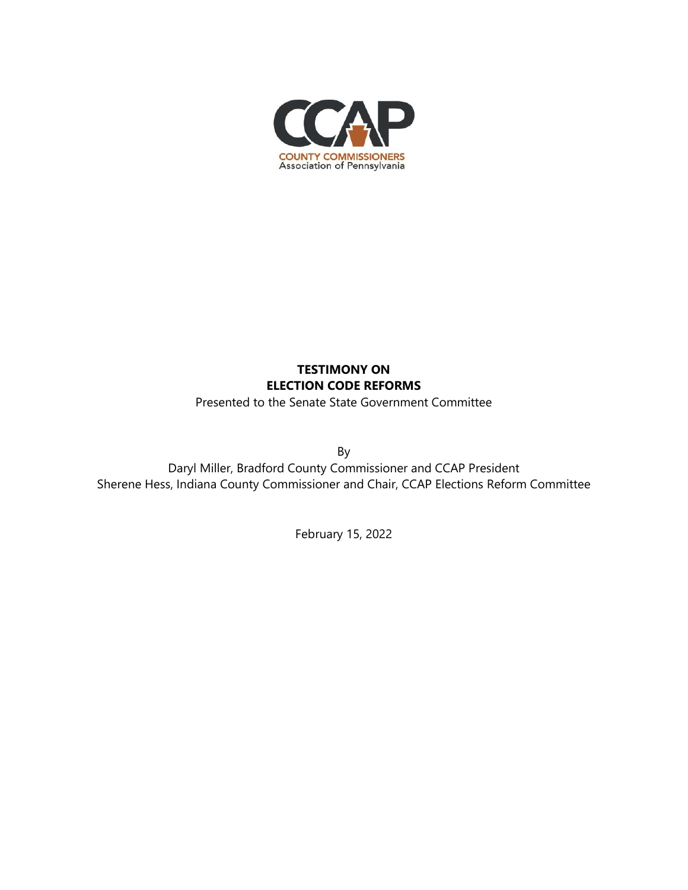

# **TESTIMONY ON ELECTION CODE REFORMS**

Presented to the Senate State Government Committee

By

Daryl Miller, Bradford County Commissioner and CCAP President Sherene Hess, Indiana County Commissioner and Chair, CCAP Elections Reform Committee

February 15, 2022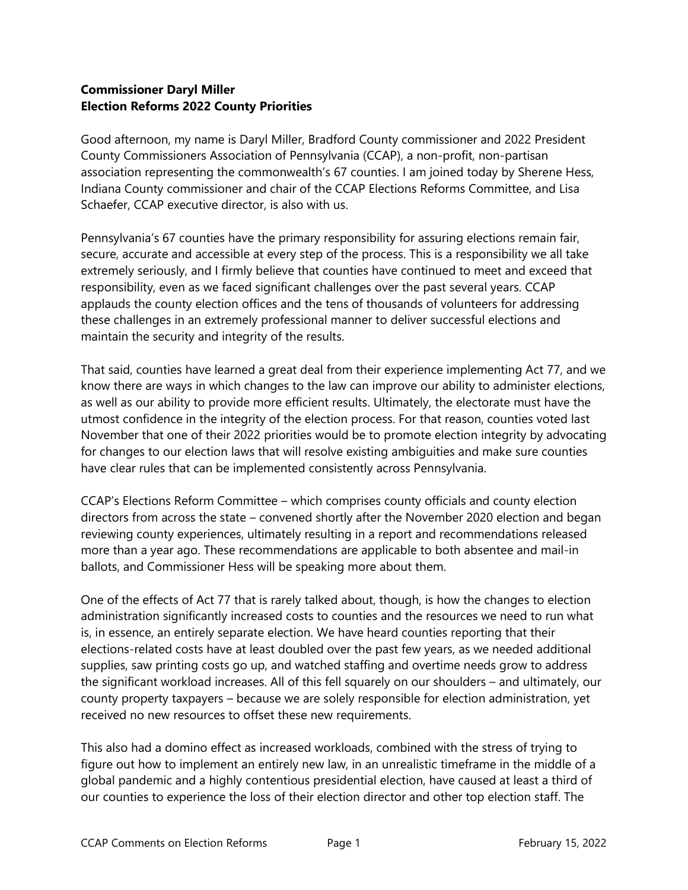#### **Commissioner Daryl Miller Election Reforms 2022 County Priorities**

Good afternoon, my name is Daryl Miller, Bradford County commissioner and 2022 President County Commissioners Association of Pennsylvania (CCAP), a non-profit, non-partisan association representing the commonwealth's 67 counties. I am joined today by Sherene Hess, Indiana County commissioner and chair of the CCAP Elections Reforms Committee, and Lisa Schaefer, CCAP executive director, is also with us.

Pennsylvania's 67 counties have the primary responsibility for assuring elections remain fair, secure, accurate and accessible at every step of the process. This is a responsibility we all take extremely seriously, and I firmly believe that counties have continued to meet and exceed that responsibility, even as we faced significant challenges over the past several years. CCAP applauds the county election offices and the tens of thousands of volunteers for addressing these challenges in an extremely professional manner to deliver successful elections and maintain the security and integrity of the results.

That said, counties have learned a great deal from their experience implementing Act 77, and we know there are ways in which changes to the law can improve our ability to administer elections, as well as our ability to provide more efficient results. Ultimately, the electorate must have the utmost confidence in the integrity of the election process. For that reason, counties voted last November that one of their 2022 priorities would be to promote election integrity by advocating for changes to our election laws that will resolve existing ambiguities and make sure counties have clear rules that can be implemented consistently across Pennsylvania.

CCAP's Elections Reform Committee – which comprises county officials and county election directors from across the state – convened shortly after the November 2020 election and began reviewing county experiences, ultimately resulting in a report and recommendations released more than a year ago. These recommendations are applicable to both absentee and mail-in ballots, and Commissioner Hess will be speaking more about them.

One of the effects of Act 77 that is rarely talked about, though, is how the changes to election administration significantly increased costs to counties and the resources we need to run what is, in essence, an entirely separate election. We have heard counties reporting that their elections-related costs have at least doubled over the past few years, as we needed additional supplies, saw printing costs go up, and watched staffing and overtime needs grow to address the significant workload increases. All of this fell squarely on our shoulders – and ultimately, our county property taxpayers – because we are solely responsible for election administration, yet received no new resources to offset these new requirements.

This also had a domino effect as increased workloads, combined with the stress of trying to figure out how to implement an entirely new law, in an unrealistic timeframe in the middle of a global pandemic and a highly contentious presidential election, have caused at least a third of our counties to experience the loss of their election director and other top election staff. The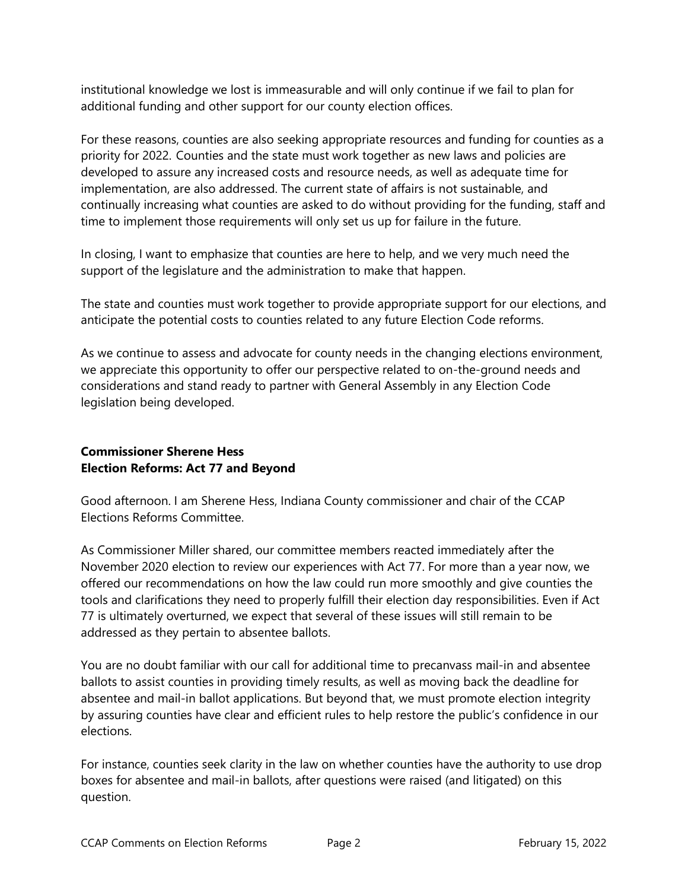institutional knowledge we lost is immeasurable and will only continue if we fail to plan for additional funding and other support for our county election offices.

For these reasons, counties are also seeking appropriate resources and funding for counties as a priority for 2022. Counties and the state must work together as new laws and policies are developed to assure any increased costs and resource needs, as well as adequate time for implementation, are also addressed. The current state of affairs is not sustainable, and continually increasing what counties are asked to do without providing for the funding, staff and time to implement those requirements will only set us up for failure in the future.

In closing, I want to emphasize that counties are here to help, and we very much need the support of the legislature and the administration to make that happen.

The state and counties must work together to provide appropriate support for our elections, and anticipate the potential costs to counties related to any future Election Code reforms.

As we continue to assess and advocate for county needs in the changing elections environment, we appreciate this opportunity to offer our perspective related to on-the-ground needs and considerations and stand ready to partner with General Assembly in any Election Code legislation being developed.

#### **Commissioner Sherene Hess Election Reforms: Act 77 and Beyond**

Good afternoon. I am Sherene Hess, Indiana County commissioner and chair of the CCAP Elections Reforms Committee.

As Commissioner Miller shared, our committee members reacted immediately after the November 2020 election to review our experiences with Act 77. For more than a year now, we offered our recommendations on how the law could run more smoothly and give counties the tools and clarifications they need to properly fulfill their election day responsibilities. Even if Act 77 is ultimately overturned, we expect that several of these issues will still remain to be addressed as they pertain to absentee ballots.

You are no doubt familiar with our call for additional time to precanvass mail-in and absentee ballots to assist counties in providing timely results, as well as moving back the deadline for absentee and mail-in ballot applications. But beyond that, we must promote election integrity by assuring counties have clear and efficient rules to help restore the public's confidence in our elections.

For instance, counties seek clarity in the law on whether counties have the authority to use drop boxes for absentee and mail-in ballots, after questions were raised (and litigated) on this question.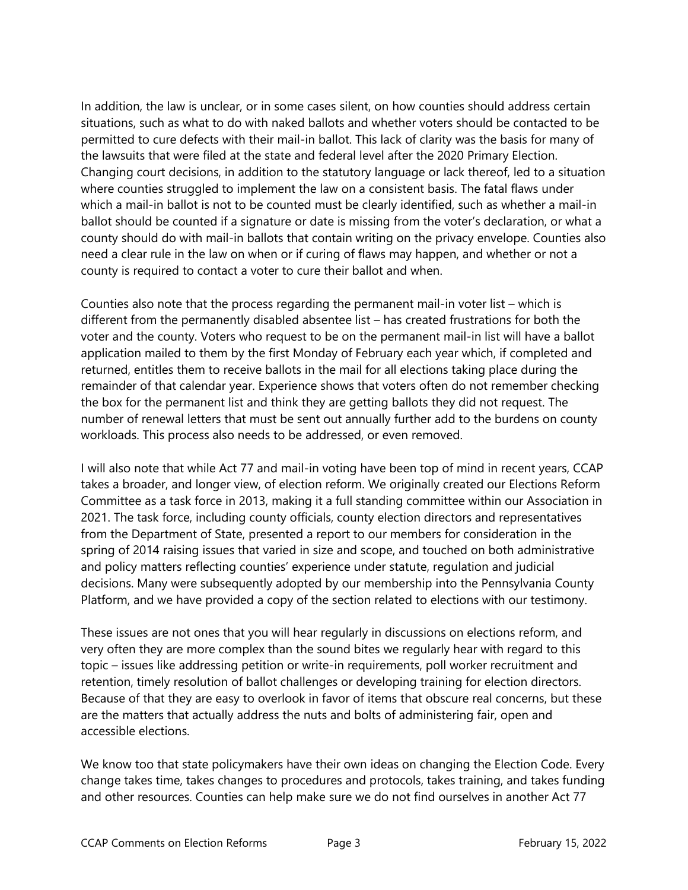In addition, the law is unclear, or in some cases silent, on how counties should address certain situations, such as what to do with naked ballots and whether voters should be contacted to be permitted to cure defects with their mail-in ballot. This lack of clarity was the basis for many of the lawsuits that were filed at the state and federal level after the 2020 Primary Election. Changing court decisions, in addition to the statutory language or lack thereof, led to a situation where counties struggled to implement the law on a consistent basis. The fatal flaws under which a mail-in ballot is not to be counted must be clearly identified, such as whether a mail-in ballot should be counted if a signature or date is missing from the voter's declaration, or what a county should do with mail-in ballots that contain writing on the privacy envelope. Counties also need a clear rule in the law on when or if curing of flaws may happen, and whether or not a county is required to contact a voter to cure their ballot and when.

Counties also note that the process regarding the permanent mail-in voter list – which is different from the permanently disabled absentee list – has created frustrations for both the voter and the county. Voters who request to be on the permanent mail-in list will have a ballot application mailed to them by the first Monday of February each year which, if completed and returned, entitles them to receive ballots in the mail for all elections taking place during the remainder of that calendar year. Experience shows that voters often do not remember checking the box for the permanent list and think they are getting ballots they did not request. The number of renewal letters that must be sent out annually further add to the burdens on county workloads. This process also needs to be addressed, or even removed.

I will also note that while Act 77 and mail-in voting have been top of mind in recent years, CCAP takes a broader, and longer view, of election reform. We originally created our Elections Reform Committee as a task force in 2013, making it a full standing committee within our Association in 2021. The task force, including county officials, county election directors and representatives from the Department of State, presented a report to our members for consideration in the spring of 2014 raising issues that varied in size and scope, and touched on both administrative and policy matters reflecting counties' experience under statute, regulation and judicial decisions. Many were subsequently adopted by our membership into the Pennsylvania County Platform, and we have provided a copy of the section related to elections with our testimony.

These issues are not ones that you will hear regularly in discussions on elections reform, and very often they are more complex than the sound bites we regularly hear with regard to this topic – issues like addressing petition or write-in requirements, poll worker recruitment and retention, timely resolution of ballot challenges or developing training for election directors. Because of that they are easy to overlook in favor of items that obscure real concerns, but these are the matters that actually address the nuts and bolts of administering fair, open and accessible elections.

We know too that state policymakers have their own ideas on changing the Election Code. Every change takes time, takes changes to procedures and protocols, takes training, and takes funding and other resources. Counties can help make sure we do not find ourselves in another Act 77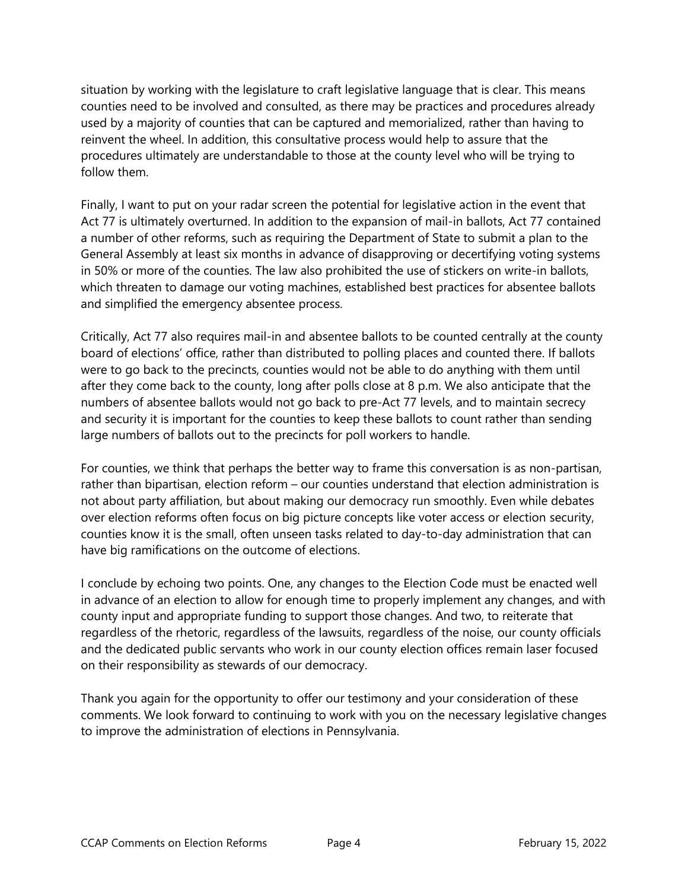situation by working with the legislature to craft legislative language that is clear. This means counties need to be involved and consulted, as there may be practices and procedures already used by a majority of counties that can be captured and memorialized, rather than having to reinvent the wheel. In addition, this consultative process would help to assure that the procedures ultimately are understandable to those at the county level who will be trying to follow them.

Finally, I want to put on your radar screen the potential for legislative action in the event that Act 77 is ultimately overturned. In addition to the expansion of mail-in ballots, Act 77 contained a number of other reforms, such as requiring the Department of State to submit a plan to the General Assembly at least six months in advance of disapproving or decertifying voting systems in 50% or more of the counties. The law also prohibited the use of stickers on write-in ballots, which threaten to damage our voting machines, established best practices for absentee ballots and simplified the emergency absentee process.

Critically, Act 77 also requires mail-in and absentee ballots to be counted centrally at the county board of elections' office, rather than distributed to polling places and counted there. If ballots were to go back to the precincts, counties would not be able to do anything with them until after they come back to the county, long after polls close at 8 p.m. We also anticipate that the numbers of absentee ballots would not go back to pre-Act 77 levels, and to maintain secrecy and security it is important for the counties to keep these ballots to count rather than sending large numbers of ballots out to the precincts for poll workers to handle.

For counties, we think that perhaps the better way to frame this conversation is as non-partisan, rather than bipartisan, election reform – our counties understand that election administration is not about party affiliation, but about making our democracy run smoothly. Even while debates over election reforms often focus on big picture concepts like voter access or election security, counties know it is the small, often unseen tasks related to day-to-day administration that can have big ramifications on the outcome of elections.

I conclude by echoing two points. One, any changes to the Election Code must be enacted well in advance of an election to allow for enough time to properly implement any changes, and with county input and appropriate funding to support those changes. And two, to reiterate that regardless of the rhetoric, regardless of the lawsuits, regardless of the noise, our county officials and the dedicated public servants who work in our county election offices remain laser focused on their responsibility as stewards of our democracy.

Thank you again for the opportunity to offer our testimony and your consideration of these comments. We look forward to continuing to work with you on the necessary legislative changes to improve the administration of elections in Pennsylvania.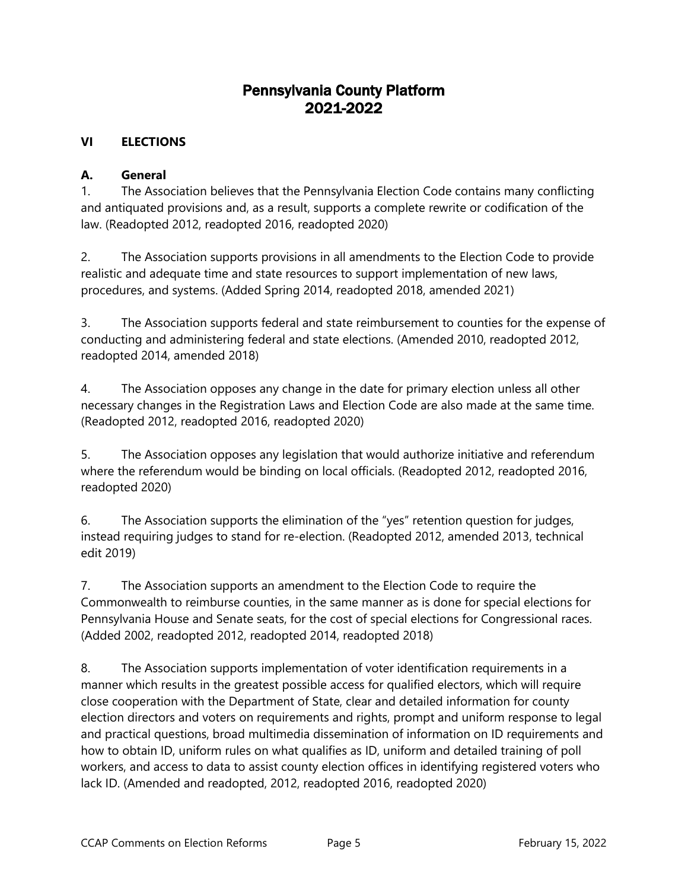## Pennsylvania County Platform 2021-2022

### **VI ELECTIONS**

#### **A. General**

1. The Association believes that the Pennsylvania Election Code contains many conflicting and antiquated provisions and, as a result, supports a complete rewrite or codification of the law. (Readopted 2012, readopted 2016, readopted 2020)

2. The Association supports provisions in all amendments to the Election Code to provide realistic and adequate time and state resources to support implementation of new laws, procedures, and systems. (Added Spring 2014, readopted 2018, amended 2021)

3. The Association supports federal and state reimbursement to counties for the expense of conducting and administering federal and state elections. (Amended 2010, readopted 2012, readopted 2014, amended 2018)

4. The Association opposes any change in the date for primary election unless all other necessary changes in the Registration Laws and Election Code are also made at the same time. (Readopted 2012, readopted 2016, readopted 2020)

5. The Association opposes any legislation that would authorize initiative and referendum where the referendum would be binding on local officials. (Readopted 2012, readopted 2016, readopted 2020)

6. The Association supports the elimination of the "yes" retention question for judges, instead requiring judges to stand for re-election. (Readopted 2012, amended 2013, technical edit 2019)

7. The Association supports an amendment to the Election Code to require the Commonwealth to reimburse counties, in the same manner as is done for special elections for Pennsylvania House and Senate seats, for the cost of special elections for Congressional races. (Added 2002, readopted 2012, readopted 2014, readopted 2018)

8. The Association supports implementation of voter identification requirements in a manner which results in the greatest possible access for qualified electors, which will require close cooperation with the Department of State, clear and detailed information for county election directors and voters on requirements and rights, prompt and uniform response to legal and practical questions, broad multimedia dissemination of information on ID requirements and how to obtain ID, uniform rules on what qualifies as ID, uniform and detailed training of poll workers, and access to data to assist county election offices in identifying registered voters who lack ID. (Amended and readopted, 2012, readopted 2016, readopted 2020)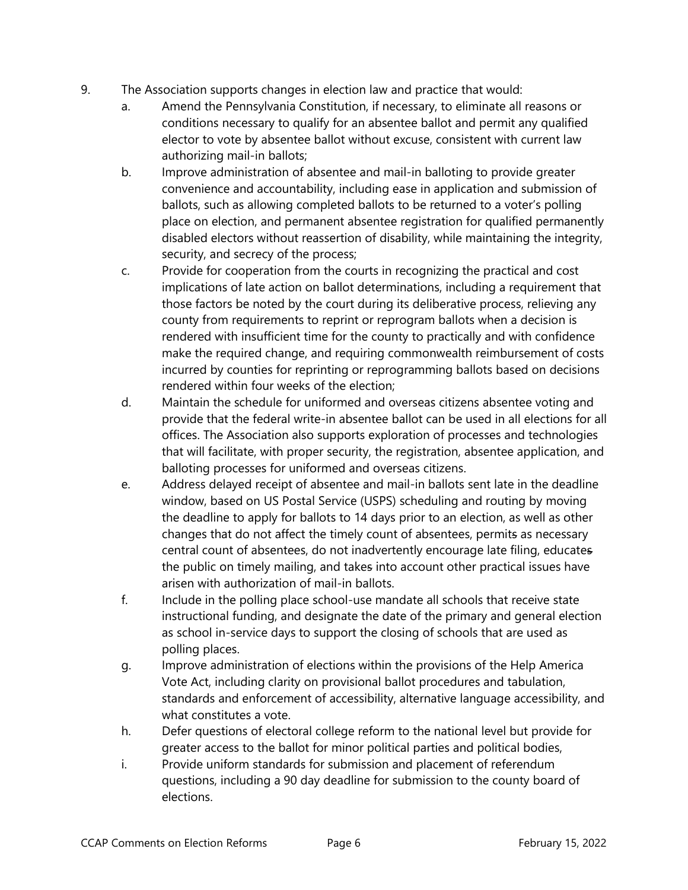- 9. The Association supports changes in election law and practice that would:
	- a. Amend the Pennsylvania Constitution, if necessary, to eliminate all reasons or conditions necessary to qualify for an absentee ballot and permit any qualified elector to vote by absentee ballot without excuse, consistent with current law authorizing mail-in ballots;
	- b. Improve administration of absentee and mail-in balloting to provide greater convenience and accountability, including ease in application and submission of ballots, such as allowing completed ballots to be returned to a voter's polling place on election, and permanent absentee registration for qualified permanently disabled electors without reassertion of disability, while maintaining the integrity, security, and secrecy of the process;
	- c. Provide for cooperation from the courts in recognizing the practical and cost implications of late action on ballot determinations, including a requirement that those factors be noted by the court during its deliberative process, relieving any county from requirements to reprint or reprogram ballots when a decision is rendered with insufficient time for the county to practically and with confidence make the required change, and requiring commonwealth reimbursement of costs incurred by counties for reprinting or reprogramming ballots based on decisions rendered within four weeks of the election;
	- d. Maintain the schedule for uniformed and overseas citizens absentee voting and provide that the federal write-in absentee ballot can be used in all elections for all offices. The Association also supports exploration of processes and technologies that will facilitate, with proper security, the registration, absentee application, and balloting processes for uniformed and overseas citizens.
	- e. Address delayed receipt of absentee and mail-in ballots sent late in the deadline window, based on US Postal Service (USPS) scheduling and routing by moving the deadline to apply for ballots to 14 days prior to an election, as well as other changes that do not affect the timely count of absentees, permits as necessary central count of absentees, do not inadvertently encourage late filing, educates the public on timely mailing, and takes into account other practical issues have arisen with authorization of mail-in ballots.
	- f. Include in the polling place school-use mandate all schools that receive state instructional funding, and designate the date of the primary and general election as school in-service days to support the closing of schools that are used as polling places.
	- g. Improve administration of elections within the provisions of the Help America Vote Act, including clarity on provisional ballot procedures and tabulation, standards and enforcement of accessibility, alternative language accessibility, and what constitutes a vote.
	- h. Defer questions of electoral college reform to the national level but provide for greater access to the ballot for minor political parties and political bodies,
	- i. Provide uniform standards for submission and placement of referendum questions, including a 90 day deadline for submission to the county board of elections.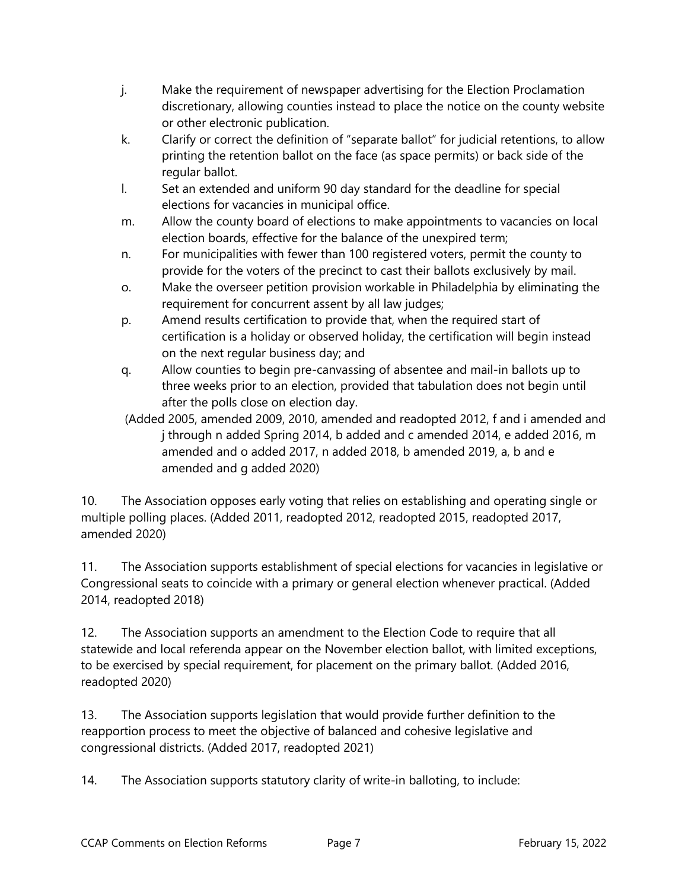- j. Make the requirement of newspaper advertising for the Election Proclamation discretionary, allowing counties instead to place the notice on the county website or other electronic publication.
- k. Clarify or correct the definition of "separate ballot" for judicial retentions, to allow printing the retention ballot on the face (as space permits) or back side of the regular ballot.
- l. Set an extended and uniform 90 day standard for the deadline for special elections for vacancies in municipal office.
- m. Allow the county board of elections to make appointments to vacancies on local election boards, effective for the balance of the unexpired term;
- n. For municipalities with fewer than 100 registered voters, permit the county to provide for the voters of the precinct to cast their ballots exclusively by mail.
- o. Make the overseer petition provision workable in Philadelphia by eliminating the requirement for concurrent assent by all law judges;
- p. Amend results certification to provide that, when the required start of certification is a holiday or observed holiday, the certification will begin instead on the next regular business day; and
- q. Allow counties to begin pre-canvassing of absentee and mail-in ballots up to three weeks prior to an election, provided that tabulation does not begin until after the polls close on election day.
- (Added 2005, amended 2009, 2010, amended and readopted 2012, f and i amended and j through n added Spring 2014, b added and c amended 2014, e added 2016, m amended and o added 2017, n added 2018, b amended 2019, a, b and e amended and g added 2020)

10. The Association opposes early voting that relies on establishing and operating single or multiple polling places. (Added 2011, readopted 2012, readopted 2015, readopted 2017, amended 2020)

11. The Association supports establishment of special elections for vacancies in legislative or Congressional seats to coincide with a primary or general election whenever practical. (Added 2014, readopted 2018)

12. The Association supports an amendment to the Election Code to require that all statewide and local referenda appear on the November election ballot, with limited exceptions, to be exercised by special requirement, for placement on the primary ballot. (Added 2016, readopted 2020)

13. The Association supports legislation that would provide further definition to the reapportion process to meet the objective of balanced and cohesive legislative and congressional districts. (Added 2017, readopted 2021)

14. The Association supports statutory clarity of write-in balloting, to include: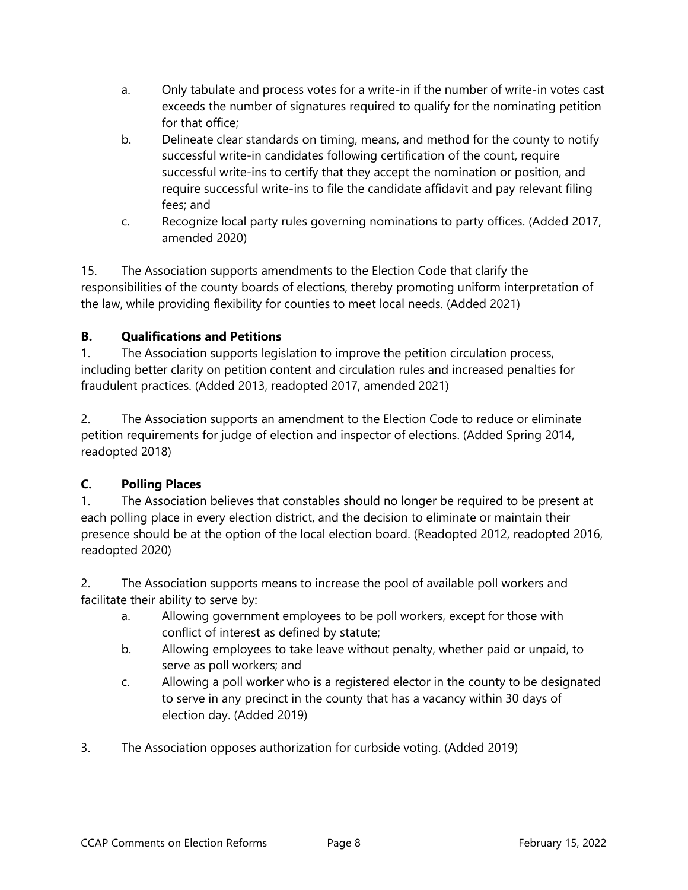- a. Only tabulate and process votes for a write-in if the number of write-in votes cast exceeds the number of signatures required to qualify for the nominating petition for that office;
- b. Delineate clear standards on timing, means, and method for the county to notify successful write-in candidates following certification of the count, require successful write-ins to certify that they accept the nomination or position, and require successful write-ins to file the candidate affidavit and pay relevant filing fees; and
- c. Recognize local party rules governing nominations to party offices. (Added 2017, amended 2020)

15. The Association supports amendments to the Election Code that clarify the responsibilities of the county boards of elections, thereby promoting uniform interpretation of the law, while providing flexibility for counties to meet local needs. (Added 2021)

## **B. Qualifications and Petitions**

1. The Association supports legislation to improve the petition circulation process, including better clarity on petition content and circulation rules and increased penalties for fraudulent practices. (Added 2013, readopted 2017, amended 2021)

2. The Association supports an amendment to the Election Code to reduce or eliminate petition requirements for judge of election and inspector of elections. (Added Spring 2014, readopted 2018)

## **C. Polling Places**

1. The Association believes that constables should no longer be required to be present at each polling place in every election district, and the decision to eliminate or maintain their presence should be at the option of the local election board. (Readopted 2012, readopted 2016, readopted 2020)

2. The Association supports means to increase the pool of available poll workers and facilitate their ability to serve by:

- a. Allowing government employees to be poll workers, except for those with conflict of interest as defined by statute;
- b. Allowing employees to take leave without penalty, whether paid or unpaid, to serve as poll workers; and
- c. Allowing a poll worker who is a registered elector in the county to be designated to serve in any precinct in the county that has a vacancy within 30 days of election day. (Added 2019)
- 3. The Association opposes authorization for curbside voting. (Added 2019)